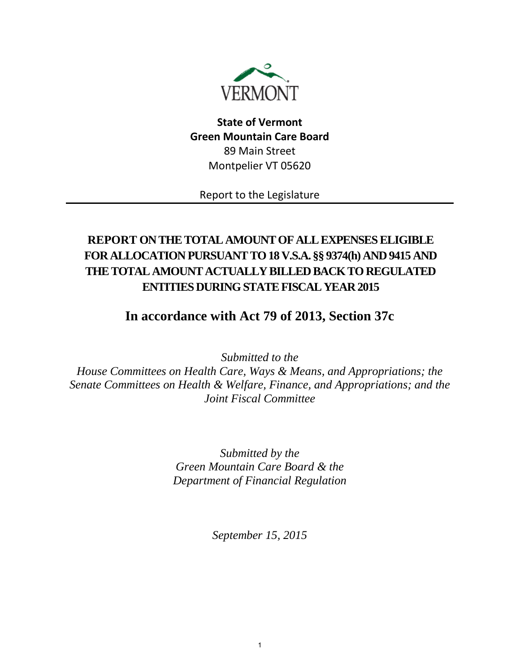

# **State of Vermont Green Mountain Care Board** 89 Main Street Montpelier VT 05620

Report to the Legislature

# **REPORT ON THE TOTAL AMOUNT OF ALL EXPENSES ELIGIBLE FOR ALLOCATION PURSUANTTO 18 V.S.A. §§ 9374(h) AND 9415 AND THE TOTAL AMOUNT ACTUALLY BILLED BACK TO REGULATED ENTITIES DURING STATE FISCAL YEAR 2015**

# **In accordance with Act 79 of 2013, Section 37c**

*Submitted to the House Committees on Health Care, Ways & Means, and Appropriations; the Senate Committees on Health & Welfare, Finance, and Appropriations; and the Joint Fiscal Committee*

> *Submitted by the Green Mountain Care Board & the Department of Financial Regulation*

> > *September 15, 2015*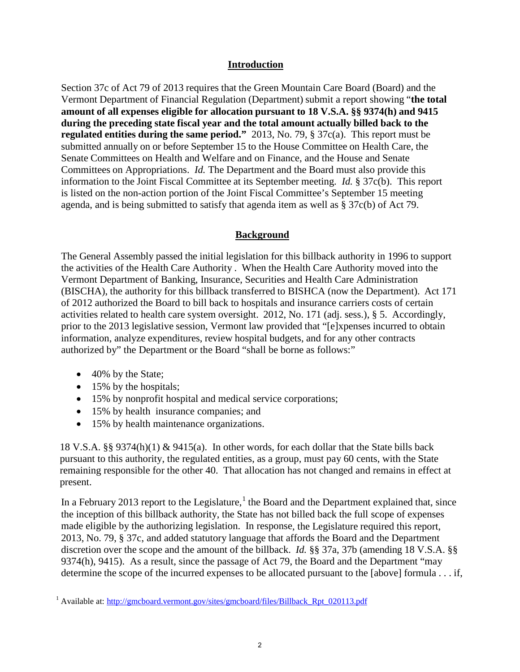## **Introduction**

Section 37c of Act 79 of 2013 requires that the Green Mountain Care Board (Board) and the Vermont Department of Financial Regulation (Department) submit a report showing "**the total amount of all expenses eligible for allocation pursuant to 18 V.S.A. §§ 9374(h) and 9415 during the preceding state fiscal year and the total amount actually billed back to the regulated entities during the same period."** 2013, No. 79, § 37c(a). This report must be submitted annually on or before September 15 to the House Committee on Health Care, the Senate Committees on Health and Welfare and on Finance, and the House and Senate Committees on Appropriations. *Id.* The Department and the Board must also provide this information to the Joint Fiscal Committee at its September meeting. *Id.* § 37c(b). This report is listed on the non-action portion of the Joint Fiscal Committee's September 15 meeting agenda, and is being submitted to satisfy that agenda item as well as § 37c(b) of Act 79.

## **Background**

The General Assembly passed the initial legislation for this billback authority in 1996 to support the activities of the Health Care Authority . When the Health Care Authority moved into the Vermont Department of Banking, Insurance, Securities and Health Care Administration (BISCHA), the authority for this billback transferred to BISHCA (now the Department). Act 171 of 2012 authorized the Board to bill back to hospitals and insurance carriers costs of certain activities related to health care system oversight. 2012, No. 171 (adj. sess.), § 5. Accordingly, prior to the 2013 legislative session, Vermont law provided that "[e]xpenses incurred to obtain information, analyze expenditures, review hospital budgets, and for any other contracts authorized by" the Department or the Board "shall be borne as follows:"

- 40% by the State;
- 15% by the hospitals;
- 15% by nonprofit hospital and medical service corporations;
- 15% by health insurance companies; and
- 15% by health maintenance organizations.

18 V.S.A. §§ 9374(h)(1) & 9415(a). In other words, for each dollar that the State bills back pursuant to this authority, the regulated entities, as a group, must pay 60 cents, with the State remaining responsible for the other 40. That allocation has not changed and remains in effect at present.

In a February 20[1](#page-1-0)3 report to the Legislature,<sup>1</sup> the Board and the Department explained that, since the inception of this billback authority, the State has not billed back the full scope of expenses made eligible by the authorizing legislation. In response, the Legislature required this report, 2013, No. 79, § 37c, and added statutory language that affords the Board and the Department discretion over the scope and the amount of the billback. *Id.* §§ 37a, 37b (amending 18 V.S.A. §§ 9374(h), 9415). As a result, since the passage of Act 79, the Board and the Department "may determine the scope of the incurred expenses to be allocated pursuant to the [above] formula . . . if,

<span id="page-1-0"></span><sup>&</sup>lt;sup>1</sup> Available at: [http://gmcboard.vermont.gov/sites/gmcboard/files/Billback\\_Rpt\\_020113.pdf](http://gmcboard.vermont.gov/sites/gmcboard/files/Billback_Rpt_020113.pdf)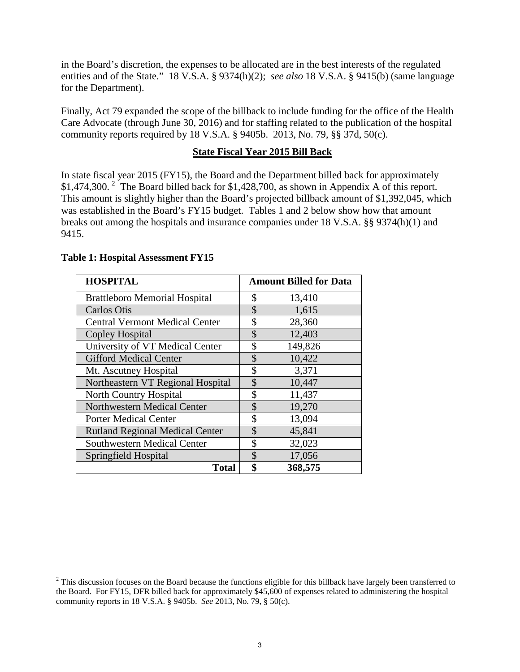in the Board's discretion, the expenses to be allocated are in the best interests of the regulated entities and of the State." 18 V.S.A. § 9374(h)(2); *see also* 18 V.S.A. § 9415(b) (same language for the Department).

Finally, Act 79 expanded the scope of the billback to include funding for the office of the Health Care Advocate (through June 30, 2016) and for staffing related to the publication of the hospital community reports required by 18 V.S.A. § 9405b. 2013, No. 79, §§ 37d, 50(c).

### **State Fiscal Year 2015 Bill Back**

In state fiscal year 2015 (FY15), the Board and the Department billed back for approximately \$1,474,300.<sup>[2](#page-2-0)</sup> The Board billed back for \$1,428,700, as shown in Appendix A of this report. This amount is slightly higher than the Board's projected billback amount of \$1,392,045, which was established in the Board's FY15 budget. Tables 1 and 2 below show how that amount breaks out among the hospitals and insurance companies under 18 V.S.A. §§ 9374(h)(1) and 9415.

| <b>HOSPITAL</b>                        | <b>Amount Billed for Data</b> |
|----------------------------------------|-------------------------------|
| <b>Brattleboro Memorial Hospital</b>   | \$<br>13,410                  |
| Carlos Otis                            | \$<br>1,615                   |
| <b>Central Vermont Medical Center</b>  | \$<br>28,360                  |
| <b>Copley Hospital</b>                 | \$<br>12,403                  |
| University of VT Medical Center        | \$<br>149,826                 |
| <b>Gifford Medical Center</b>          | 10,422<br>\$                  |
| Mt. Ascutney Hospital                  | 3,371<br>\$                   |
| Northeastern VT Regional Hospital      | \$<br>10,447                  |
| North Country Hospital                 | \$<br>11,437                  |
| Northwestern Medical Center            | 19,270<br>\$                  |
| <b>Porter Medical Center</b>           | \$<br>13,094                  |
| <b>Rutland Regional Medical Center</b> | \$<br>45,841                  |
| <b>Southwestern Medical Center</b>     | \$<br>32,023                  |
| Springfield Hospital                   | \$<br>17,056                  |
| <b>Total</b>                           | \$<br>368,575                 |

### **Table 1: Hospital Assessment FY15**

<span id="page-2-0"></span><sup>&</sup>lt;sup>2</sup> This discussion focuses on the Board because the functions eligible for this billback have largely been transferred to the Board. For FY15, DFR billed back for approximately \$45,600 of expenses related to administering the hospital community reports in 18 V.S.A. § 9405b. *See* 2013, No. 79, § 50(c).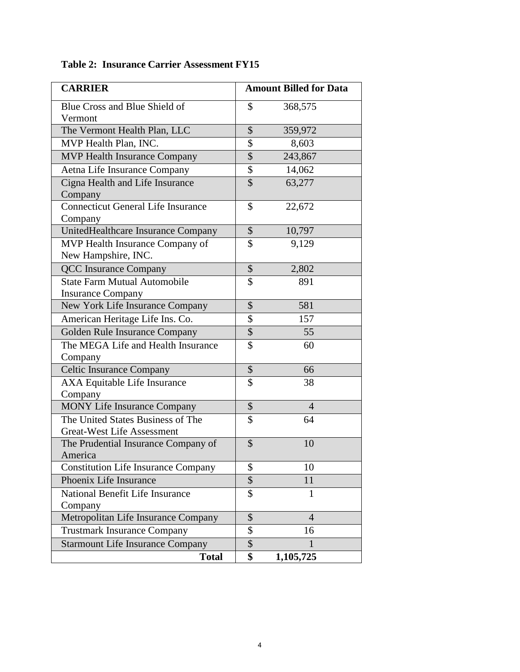| <b>CARRIER</b>                             |                          | <b>Amount Billed for Data</b> |
|--------------------------------------------|--------------------------|-------------------------------|
| Blue Cross and Blue Shield of              | \$                       | 368,575                       |
| Vermont                                    |                          |                               |
| The Vermont Health Plan, LLC               | \$                       | 359,972                       |
| MVP Health Plan, INC.                      | \$                       | 8,603                         |
| <b>MVP Health Insurance Company</b>        | \$                       | 243,867                       |
| Aetna Life Insurance Company               | \$                       | 14,062                        |
| Cigna Health and Life Insurance            | $\overline{\mathcal{S}}$ | 63,277                        |
| Company                                    |                          |                               |
| <b>Connecticut General Life Insurance</b>  | \$                       | 22,672                        |
| Company                                    |                          |                               |
| UnitedHealthcare Insurance Company         | \$                       | 10,797                        |
| MVP Health Insurance Company of            | \$                       | 9,129                         |
| New Hampshire, INC.                        |                          |                               |
| <b>QCC</b> Insurance Company               | \$                       | 2,802                         |
| <b>State Farm Mutual Automobile</b>        | \$                       | 891                           |
| <b>Insurance Company</b>                   |                          |                               |
| New York Life Insurance Company            | \$                       | 581                           |
| American Heritage Life Ins. Co.            | \$                       | 157                           |
| Golden Rule Insurance Company              | \$                       | 55                            |
| The MEGA Life and Health Insurance         | \$                       | 60                            |
| Company                                    |                          |                               |
| <b>Celtic Insurance Company</b>            | \$                       | 66                            |
| AXA Equitable Life Insurance               | \$                       | 38                            |
| Company                                    |                          |                               |
| <b>MONY Life Insurance Company</b>         | \$                       | $\overline{4}$                |
| The United States Business of The          | \$                       | 64                            |
| <b>Great-West Life Assessment</b>          |                          |                               |
| The Prudential Insurance Company of        | \$                       | 10                            |
| America                                    |                          |                               |
| <b>Constitution Life Insurance Company</b> | \$                       | 10                            |
| Phoenix Life Insurance                     | \$                       | 11                            |
| National Benefit Life Insurance            | \$                       | 1                             |
| Company                                    |                          |                               |
| Metropolitan Life Insurance Company        | \$                       | $\overline{4}$                |
| <b>Trustmark Insurance Company</b>         | \$                       | 16                            |
| <b>Starmount Life Insurance Company</b>    | \$                       | L                             |
| <b>Total</b>                               | \$                       | 1,105,725                     |

## **Table 2: Insurance Carrier Assessment FY15**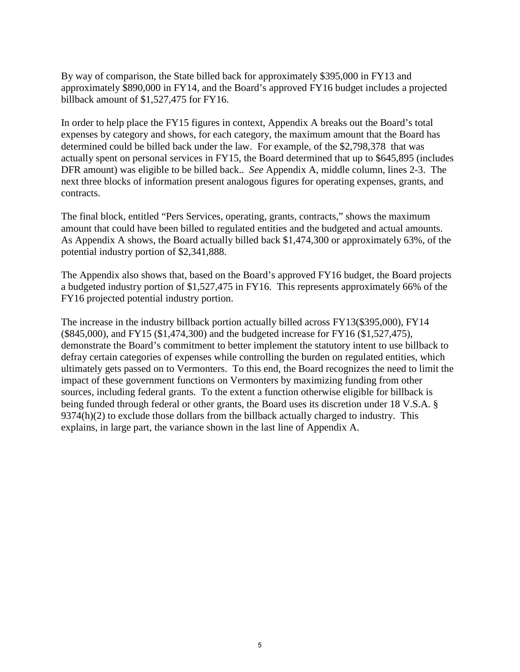By way of comparison, the State billed back for approximately \$395,000 in FY13 and approximately \$890,000 in FY14, and the Board's approved FY16 budget includes a projected billback amount of \$1,527,475 for FY16.

In order to help place the FY15 figures in context, Appendix A breaks out the Board's total expenses by category and shows, for each category, the maximum amount that the Board has determined could be billed back under the law. For example, of the \$2,798,378 that was actually spent on personal services in FY15, the Board determined that up to \$645,895 (includes DFR amount) was eligible to be billed back.. *See* Appendix A, middle column, lines 2-3. The next three blocks of information present analogous figures for operating expenses, grants, and contracts.

The final block, entitled "Pers Services, operating, grants, contracts," shows the maximum amount that could have been billed to regulated entities and the budgeted and actual amounts. As Appendix A shows, the Board actually billed back \$1,474,300 or approximately 63%, of the potential industry portion of \$2,341,888.

The Appendix also shows that, based on the Board's approved FY16 budget, the Board projects a budgeted industry portion of \$1,527,475 in FY16. This represents approximately 66% of the FY16 projected potential industry portion.

The increase in the industry billback portion actually billed across FY13(\$395,000), FY14 (\$845,000), and FY15 (\$1,474,300) and the budgeted increase for FY16 (\$1,527,475), demonstrate the Board's commitment to better implement the statutory intent to use billback to defray certain categories of expenses while controlling the burden on regulated entities, which ultimately gets passed on to Vermonters. To this end, the Board recognizes the need to limit the impact of these government functions on Vermonters by maximizing funding from other sources, including federal grants. To the extent a function otherwise eligible for billback is being funded through federal or other grants, the Board uses its discretion under 18 V.S.A. § 9374(h)(2) to exclude those dollars from the billback actually charged to industry. This explains, in large part, the variance shown in the last line of Appendix A.